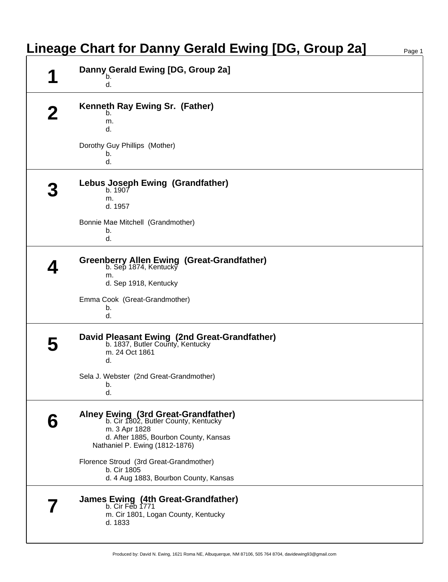| Danny Gerald Ewing [DG, Group 2a]<br>b.                                                                                                                                 |  |
|-------------------------------------------------------------------------------------------------------------------------------------------------------------------------|--|
| d.                                                                                                                                                                      |  |
| Kenneth Ray Ewing Sr. (Father)<br>b.                                                                                                                                    |  |
| m.<br>d.                                                                                                                                                                |  |
| Dorothy Guy Phillips (Mother)<br>b.<br>d.                                                                                                                               |  |
| Lebus Joseph Ewing (Grandfather)<br>b. 1907<br>m.                                                                                                                       |  |
| d. 1957                                                                                                                                                                 |  |
| Bonnie Mae Mitchell (Grandmother)<br>b.<br>d.                                                                                                                           |  |
| <b>Greenberry Allen Ewing (Great-Grandfather)</b><br>b. Sep 1874, Kentucky<br>m.<br>d. Sep 1918, Kentucky                                                               |  |
| Emma Cook (Great-Grandmother)<br>b.<br>d.                                                                                                                               |  |
| David Pleasant Ewing (2nd Great-Grandfather)<br>b. 1837, Butler County, Kentucky<br>m. 24 Oct 1861<br>d.                                                                |  |
| Sela J. Webster (2nd Great-Grandmother)<br>b.<br>d.                                                                                                                     |  |
| Alney Ewing (3rd Great-Grandfather)<br>b. Cir 1802, Butler County, Kentucky<br>m. 3 Apr 1828<br>d. After 1885, Bourbon County, Kansas<br>Nathaniel P. Ewing (1812-1876) |  |
| Florence Stroud (3rd Great-Grandmother)<br>b. Cir 1805<br>d. 4 Aug 1883, Bourbon County, Kansas                                                                         |  |
| James Ewing (4th Great-Grandfather)<br>b. Cir Feb 1771<br>m. Cir 1801, Logan County, Kentucky<br>d. 1833                                                                |  |